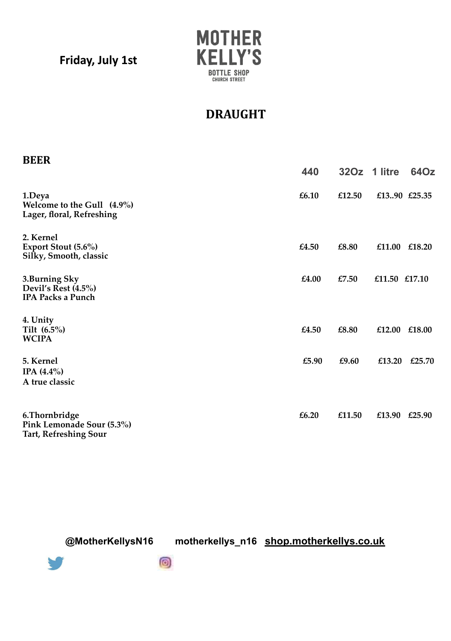**Friday, July 1st**



## **DRAUGHT**

| <b>BEER</b>                                                                 | 440   |        | 32Oz 1 litre  | 64Oz   |
|-----------------------------------------------------------------------------|-------|--------|---------------|--------|
| 1.Deya<br>Welcome to the Gull (4.9%)<br>Lager, floral, Refreshing           | £6.10 | £12.50 | £1390 £25.35  |        |
| 2. Kernel<br>Export Stout (5.6%)<br>Silky, Smooth, classic                  | £4.50 | £8.80  | £11.00 £18.20 |        |
| 3.Burning Sky<br>Devil's Rest $(4.5\%)$<br><b>IPA Packs a Punch</b>         | £4.00 | £7.50  | £11.50 £17.10 |        |
| 4. Unity<br>Tilt $(6.5\%)$<br><b>WCIPA</b>                                  | £4.50 | £8.80  | £12.00        | £18.00 |
| 5. Kernel<br>IPA $(4.4\%)$<br>A true classic                                | £5.90 | £9.60  | £13.20        | £25.70 |
| 6. Thornbridge<br>Pink Lemonade Sour (5.3%)<br><b>Tart, Refreshing Sour</b> | £6.20 | £11.50 | £13.90 £25.90 |        |

**@MotherKellysN16 motherkellys\_n16 shop.motherkellys.co.uk**



 $\circledcirc$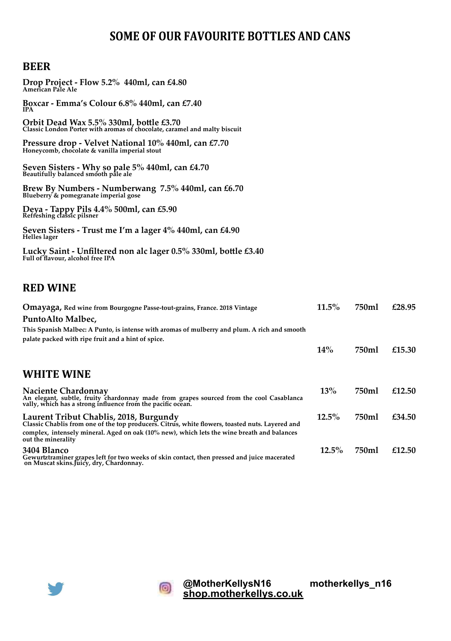## **SOME OF OUR FAVOURITE BOTTLES AND CANS**

## **BEER**

| Drop Project - Flow 5.2% 440ml, can £4.80<br>American Pale Ale                                                                                                                                                                                                |          |       |        |
|---------------------------------------------------------------------------------------------------------------------------------------------------------------------------------------------------------------------------------------------------------------|----------|-------|--------|
| Boxcar - Emma's Colour 6.8% 440ml, can £7.40<br>IPA                                                                                                                                                                                                           |          |       |        |
| Orbit Dead Wax 5.5% 330ml, bottle £3.70<br>Classic London Porter with aromas of chocolate, caramel and malty biscuit                                                                                                                                          |          |       |        |
| Pressure drop - Velvet National 10% 440ml, can £7.70<br>Honeycomb, chocolate & vanilla imperial stout                                                                                                                                                         |          |       |        |
| Seven Sisters - Why so pale 5% 440ml, can £4.70<br>Beautifully balanced smooth pale ale                                                                                                                                                                       |          |       |        |
| Brew By Numbers - Numberwang $7.5\%$ 440ml, can £6.70<br>Blueberry & pomegranate imperial gose                                                                                                                                                                |          |       |        |
| Deya - Tappy Pils 4.4% 500ml, can £5.90<br>Refreshing classic pilsner                                                                                                                                                                                         |          |       |        |
| Seyen Sisters - Trust me I'm a lager 4% 440ml, can £4.90<br><b>Helles</b> lager                                                                                                                                                                               |          |       |        |
| Lucky Saint - Unfiltered non alc lager 0.5% 330ml, bottle £3.40<br>Full of flavour, alcohol free IPA                                                                                                                                                          |          |       |        |
| <b>RED WINE</b>                                                                                                                                                                                                                                               |          |       |        |
| <b>Omayaga, Red wine from Bourgogne Passe-tout-grains, France. 2018 Vintage</b>                                                                                                                                                                               | $11.5\%$ | 750ml | £28.95 |
| PuntoAlto Malbec,<br>This Spanish Malbec: A Punto, is intense with aromas of mulberry and plum. A rich and smooth<br>palate packed with ripe fruit and a hint of spice.                                                                                       |          |       |        |
|                                                                                                                                                                                                                                                               | 14%      | 750ml | £15.30 |
| <b>WHITE WINE</b>                                                                                                                                                                                                                                             |          |       |        |
| Naciente Chardonnay<br>An elegant, subtle, fruity chardonnay made from grapes sourced from the cool Casablanca<br>vally, which has a strong influence from the pacific ocean.                                                                                 | 13%      | 750ml | £12.50 |
| Laurent Tribut Chablis, 2018, Burgundy<br>Classic Chablis from one of the top producers. Citrus, white flowers, toasted nuts. Layered and<br>complex, intensely mineral. Aged on oak (10% new), which lets the wine breath and balances<br>out the minerality | $12.5\%$ | 750ml | £34.50 |

**3404 Blanco 12.5% 750ml £12.50 Gewurtztraminer grapes left for two weeks of skin contact, then pressed and juice macerated on Muscat skins.Juicy, dry, Chardonnay.**





**@MotherKellysN16 motherkellys\_n16 shop.motherkellys.co.uk**